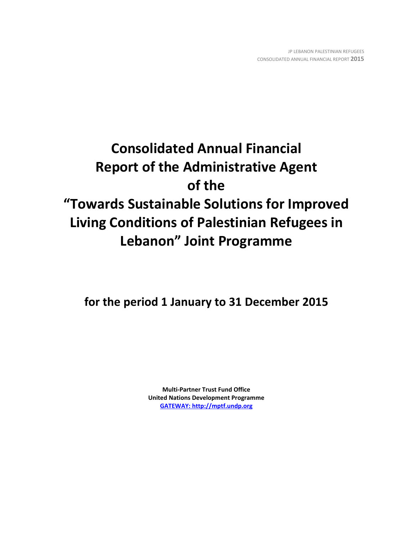# **Consolidated Annual Financial Report of the Administrative Agent of the "Towards Sustainable Solutions for Improved Living Conditions of Palestinian Refugees in Lebanon" Joint Programme**

**for the period 1 January to 31 December 2015**

**Multi-Partner Trust Fund Office United Nations Development Programme [GATEWAY: http://mptf.undp.org](http://mptf.undp.org/)**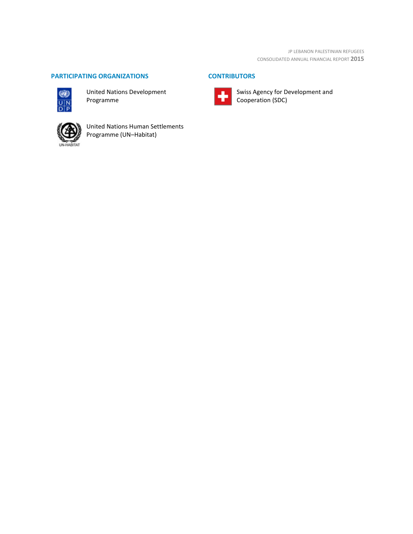# **PARTICIPATING ORGANIZATIONS CONTRIBUTORS**



United Nations Development Programme



United Nations Human Settlements Programme (UN–Habitat)



Swiss Agency for Development and Cooperation (SDC)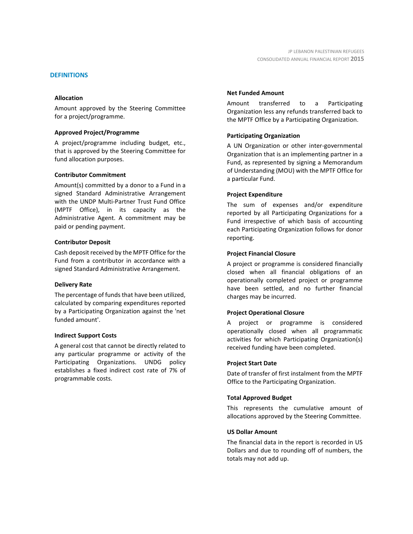#### **DEFINITIONS**

#### **Allocation**

Amount approved by the Steering Committee for a project/programme.

#### **Approved Project/Programme**

A project/programme including budget, etc., that is approved by the Steering Committee for fund allocation purposes.

#### **Contributor Commitment**

Amount(s) committed by a donor to a Fund in a signed Standard Administrative Arrangement with the UNDP Multi-Partner Trust Fund Office (MPTF Office), in its capacity as the Administrative Agent. A commitment may be paid or pending payment.

#### **Contributor Deposit**

Cash deposit received by the MPTF Office for the Fund from a contributor in accordance with a signed Standard Administrative Arrangement.

#### **Delivery Rate**

The percentage of funds that have been utilized, calculated by comparing expenditures reported by a Participating Organization against the 'net funded amount'.

#### **Indirect Support Costs**

A general cost that cannot be directly related to any particular programme or activity of the Participating Organizations. UNDG policy establishes a fixed indirect cost rate of 7% of programmable costs.

#### **Net Funded Amount**

Amount transferred to a Participating Organization less any refunds transferred back to the MPTF Office by a Participating Organization.

#### **Participating Organization**

A UN Organization or other inter-governmental Organization that is an implementing partner in a Fund, as represented by signing a Memorandum of Understanding (MOU) with the MPTF Office for a particular Fund.

#### **Project Expenditure**

The sum of expenses and/or expenditure reported by all Participating Organizations for a Fund irrespective of which basis of accounting each Participating Organization follows for donor reporting.

#### **Project Financial Closure**

A project or programme is considered financially closed when all financial obligations of an operationally completed project or programme have been settled, and no further financial charges may be incurred.

#### **Project Operational Closure**

A project or programme is considered operationally closed when all programmatic activities for which Participating Organization(s) received funding have been completed.

#### **Project Start Date**

Date of transfer of first instalment from the MPTF Office to the Participating Organization.

#### **Total Approved Budget**

This represents the cumulative amount of allocations approved by the Steering Committee.

#### **US Dollar Amount**

The financial data in the report is recorded in US Dollars and due to rounding off of numbers, the totals may not add up.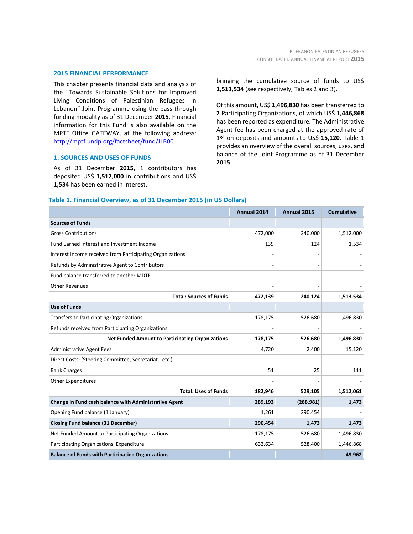#### **2015 FINANCIAL PERFORMANCE**

This chapter presents financial data and analysis of the "Towards Sustainable Solutions for Improved Living Conditions of Palestinian Refugees in Lebanon" Joint Programme using the pass-through funding modality as of 31 December **2015**. Financial information for this Fund is also available on the MPTF Office GATEWAY, at the following address: [http://mptf.undp.org/factsheet/fund/JLB00.](http://mptf.undp.org/factsheet/fund/JLB00)

#### **1. SOURCES AND USES OF FUNDS**

As of 31 December **2015**, 1 contributors has deposited US\$ **1,512,000** in contributions and US\$ **1,534** has been earned in interest,

bringing the cumulative source of funds to US\$ **1,513,534** (see respectively, Tables 2 and 3).

Of this amount, US\$ **1,496,830** has been transferred to **2** Participating Organizations, of which US\$ **1,446,868** has been reported as expenditure. The Administrative Agent fee has been charged at the approved rate of 1% on deposits and amounts to US\$ **15,120**. Table 1 provides an overview of the overall sources, uses, and balance of the Joint Programme as of 31 December **2015**.

#### **Table 1. Financial Overview, as of 31 December 2015 (in US Dollars)**

|                                                           | Annual 2014 | Annual 2015 | <b>Cumulative</b> |
|-----------------------------------------------------------|-------------|-------------|-------------------|
| <b>Sources of Funds</b>                                   |             |             |                   |
| <b>Gross Contributions</b>                                | 472,000     | 240,000     | 1,512,000         |
| Fund Earned Interest and Investment Income                | 139         | 124         | 1,534             |
| Interest Income received from Participating Organizations |             |             |                   |
| Refunds by Administrative Agent to Contributors           |             |             |                   |
| Fund balance transferred to another MDTF                  |             |             |                   |
| <b>Other Revenues</b>                                     |             |             |                   |
| <b>Total: Sources of Funds</b>                            | 472,139     | 240,124     | 1,513,534         |
| <b>Use of Funds</b>                                       |             |             |                   |
| <b>Transfers to Participating Organizations</b>           | 178,175     | 526,680     | 1,496,830         |
| Refunds received from Participating Organizations         |             |             |                   |
| <b>Net Funded Amount to Participating Organizations</b>   | 178,175     | 526,680     | 1,496,830         |
| <b>Administrative Agent Fees</b>                          | 4,720       | 2,400       | 15,120            |
| Direct Costs: (Steering Committee, Secretariatetc.)       |             |             |                   |
| <b>Bank Charges</b>                                       | 51          | 25          | 111               |
| <b>Other Expenditures</b>                                 |             |             |                   |
| <b>Total: Uses of Funds</b>                               | 182,946     | 529,105     | 1,512,061         |
| Change in Fund cash balance with Administrative Agent     | 289,193     | (288, 981)  | 1,473             |
| Opening Fund balance (1 January)                          | 1,261       | 290,454     |                   |
| <b>Closing Fund balance (31 December)</b>                 | 290,454     | 1,473       | 1,473             |
| Net Funded Amount to Participating Organizations          | 178,175     | 526,680     | 1,496,830         |
| Participating Organizations' Expenditure                  | 632,634     | 528,400     | 1,446,868         |
| <b>Balance of Funds with Participating Organizations</b>  |             |             | 49,962            |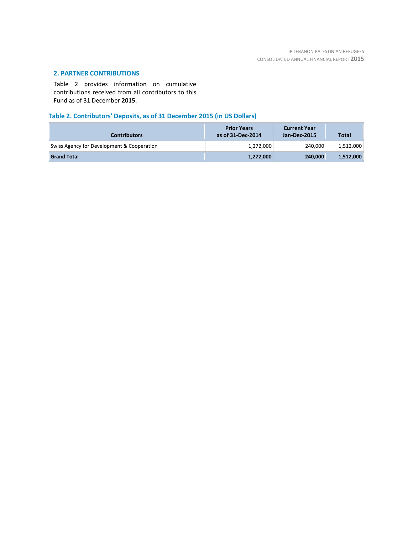# **2. PARTNER CONTRIBUTIONS**

Table 2 provides information on cumulative contributions received from all contributors to this Fund as of 31 December **2015**.

# **Table 2. Contributors' Deposits, as of 31 December 2015 (in US Dollars)**

| <b>Contributors</b>                        | <b>Prior Years</b><br>as of 31-Dec-2014 | <b>Current Year</b><br>Jan-Dec-2015 | <b>Total</b> |
|--------------------------------------------|-----------------------------------------|-------------------------------------|--------------|
| Swiss Agency for Development & Cooperation | 1,272,000                               | 240.000                             | 1,512,000    |
| <b>Grand Total</b>                         | 1,272,000                               | 240,000                             | 1,512,000    |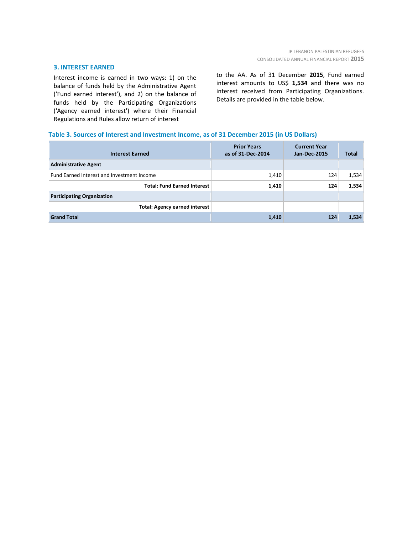#### **3. INTEREST EARNED**

Interest income is earned in two ways: 1) on the balance of funds held by the Administrative Agent ('Fund earned interest'), and 2) on the balance of funds held by the Participating Organizations ('Agency earned interest') where their Financial Regulations and Rules allow return of interest

to the AA. As of 31 December **2015**, Fund earned interest amounts to US\$ **1,534** and there was no interest received from Participating Organizations. Details are provided in the table below.

### **Table 3. Sources of Interest and Investment Income, as of 31 December 2015 (in US Dollars)**

| <b>Interest Earned</b>                     | <b>Prior Years</b><br>as of 31-Dec-2014 | <b>Current Year</b><br><b>Jan-Dec-2015</b> | <b>Total</b> |
|--------------------------------------------|-----------------------------------------|--------------------------------------------|--------------|
| <b>Administrative Agent</b>                |                                         |                                            |              |
| Fund Earned Interest and Investment Income | 1,410                                   | 124                                        | 1,534        |
| <b>Total: Fund Earned Interest</b>         | 1,410                                   | 124                                        | 1,534        |
| <b>Participating Organization</b>          |                                         |                                            |              |
| <b>Total: Agency earned interest</b>       |                                         |                                            |              |
| <b>Grand Total</b>                         | 1,410                                   | 124                                        | 1,534        |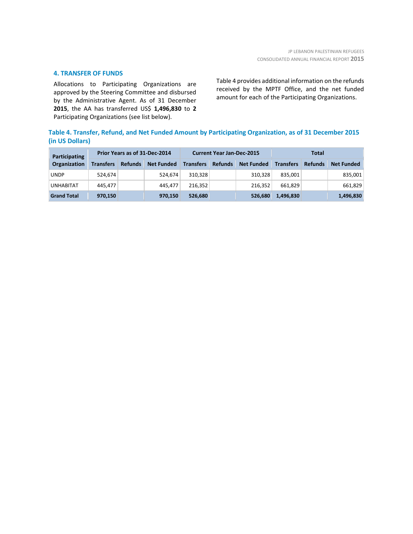### **4. TRANSFER OF FUNDS**

Allocations to Participating Organizations are approved by the Steering Committee and disbursed by the Administrative Agent. As of 31 December **2015**, the AA has transferred US\$ **1,496,830** to **2** Participating Organizations (see list below).

Table 4 provides additional information on the refunds received by the MPTF Office, and the net funded amount for each of the Participating Organizations.

# **Table 4. Transfer, Refund, and Net Funded Amount by Participating Organization, as of 31 December 2015 (in US Dollars)**

| <b>Participating</b> | Prior Years as of 31-Dec-2014 |                |                   | <b>Current Year Jan-Dec-2015</b> |                |                   | Total            |                |                   |
|----------------------|-------------------------------|----------------|-------------------|----------------------------------|----------------|-------------------|------------------|----------------|-------------------|
| Organization         | <b>Transfers</b>              | <b>Refunds</b> | <b>Net Funded</b> | <b>Transfers</b>                 | <b>Refunds</b> | <b>Net Funded</b> | <b>Transfers</b> | <b>Refunds</b> | <b>Net Funded</b> |
| UNDP                 | 524,674                       |                | 524.674           | 310.328                          |                | 310.328           | 835.001          |                | 835,001           |
| <b>UNHABITAT</b>     | 445.477                       |                | 445.477           | 216.352                          |                | 216.352           | 661.829          |                | 661,829           |
| <b>Grand Total</b>   | 970,150                       |                | 970,150           | 526,680                          |                | 526,680           | 1,496,830        |                | 1,496,830         |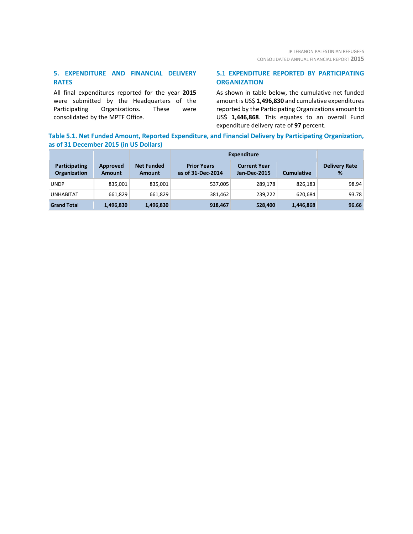# **5. EXPENDITURE AND FINANCIAL DELIVERY RATES**

All final expenditures reported for the year **2015** were submitted by the Headquarters of the Participating Organizations. These were consolidated by the MPTF Office.

# **5.1 EXPENDITURE REPORTED BY PARTICIPATING ORGANIZATION**

As shown in table below, the cumulative net funded amount is US\$ **1,496,830** and cumulative expenditures reported by the Participating Organizations amount to US\$ **1,446,868**. This equates to an overall Fund expenditure delivery rate of **97** percent.

# **Table 5.1. Net Funded Amount, Reported Expenditure, and Financial Delivery by Participating Organization, as of 31 December 2015 (in US Dollars)**

|                                      |                           |                             | <b>Expenditure</b>                      |                                            |                   |                           |
|--------------------------------------|---------------------------|-----------------------------|-----------------------------------------|--------------------------------------------|-------------------|---------------------------|
| Participating<br><b>Organization</b> | Approved<br><b>Amount</b> | <b>Net Funded</b><br>Amount | <b>Prior Years</b><br>as of 31-Dec-2014 | <b>Current Year</b><br><b>Jan-Dec-2015</b> | <b>Cumulative</b> | <b>Delivery Rate</b><br>% |
| <b>UNDP</b>                          | 835,001                   | 835,001                     | 537,005                                 | 289.178                                    | 826.183           | 98.94                     |
| <b>UNHABITAT</b>                     | 661,829                   | 661,829                     | 381,462                                 | 239,222                                    | 620.684           | 93.78                     |
| <b>Grand Total</b>                   | 1,496,830                 | 1,496,830                   | 918,467                                 | 528,400                                    | 1,446,868         | 96.66                     |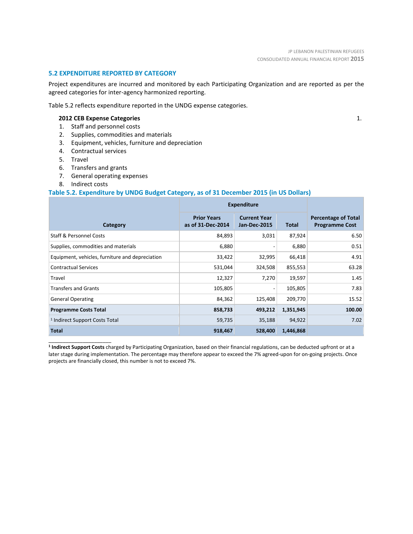### **5.2 EXPENDITURE REPORTED BY CATEGORY**

Project expenditures are incurred and monitored by each Participating Organization and are reported as per the agreed categories for inter-agency harmonized reporting.

Table 5.2 reflects expenditure reported in the UNDG expense categories.

### **2012 CEB Expense Categories**

- 1. Staff and personnel costs
- 2. Supplies, commodities and materials
- 3. Equipment, vehicles, furniture and depreciation
- 4. Contractual services
- 5. Travel
- 6. Transfers and grants
- 7. General operating expenses
- 8. Indirect costs

\_\_\_\_\_\_\_\_\_\_\_\_\_\_\_\_\_\_\_\_\_\_

### **Table 5.2. Expenditure by UNDG Budget Category, as of 31 December 2015 (in US Dollars)**

|                                                 | <b>Expenditure</b>                      |                                            |           |                                                     |
|-------------------------------------------------|-----------------------------------------|--------------------------------------------|-----------|-----------------------------------------------------|
| Category                                        | <b>Prior Years</b><br>as of 31-Dec-2014 | <b>Current Year</b><br><b>Jan-Dec-2015</b> | Total     | <b>Percentage of Total</b><br><b>Programme Cost</b> |
| <b>Staff &amp; Personnel Costs</b>              | 84,893                                  | 3,031                                      | 87,924    | 6.50                                                |
| Supplies, commodities and materials             | 6,880                                   |                                            | 6,880     | 0.51                                                |
| Equipment, vehicles, furniture and depreciation | 33,422                                  | 32,995                                     | 66,418    | 4.91                                                |
| <b>Contractual Services</b>                     | 531,044                                 | 324,508                                    | 855,553   | 63.28                                               |
| Travel                                          | 12,327                                  | 7,270                                      | 19,597    | 1.45                                                |
| <b>Transfers and Grants</b>                     | 105,805                                 |                                            | 105,805   | 7.83                                                |
| <b>General Operating</b>                        | 84,362                                  | 125,408                                    | 209,770   | 15.52                                               |
| <b>Programme Costs Total</b>                    | 858,733                                 | 493,212                                    | 1,351,945 | 100.00                                              |
| <sup>1</sup> Indirect Support Costs Total       | 59,735                                  | 35,188                                     | 94,922    | 7.02                                                |
| <b>Total</b>                                    | 918,467                                 | 528,400                                    | 1,446,868 |                                                     |

**<sup>1</sup> Indirect Support Costs** charged by Participating Organization, based on their financial regulations, can be deducted upfront or at a later stage during implementation. The percentage may therefore appear to exceed the 7% agreed-upon for on-going projects. Once projects are financially closed, this number is not to exceed 7%.